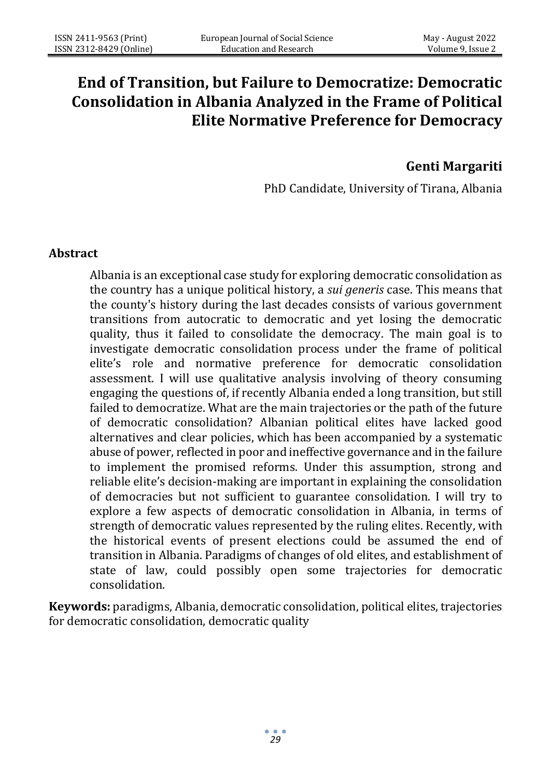# **End of Transition, but Failure to Democratize: Democratic Consolidation in Albania Analyzed in the Frame of Political Elite Normative Preference for Democracy**

# **Genti Margariti**

PhD Candidate, University of Tirana, Albania

#### **Abstract**

Albania is an exceptional case study for exploring democratic consolidation as the country has a unique political history, a *sui generis* case. This means that the county's history during the last decades consists of various government transitions from autocratic to democratic and yet losing the democratic quality, thus it failed to consolidate the democracy. The main goal is to investigate democratic consolidation process under the frame of political elite's role and normative preference for democratic consolidation assessment. I will use qualitative analysis involving of theory consuming engaging the questions of, if recently Albania ended a long transition, but still failed to democratize. What are the main trajectories or the path of the future of democratic consolidation? Albanian political elites have lacked good alternatives and clear policies, which has been accompanied by a systematic abuse of power, reflected in poor and ineffective governance and in the failure to implement the promised reforms. Under this assumption, strong and reliable elite's decision-making are important in explaining the consolidation of democracies but not sufficient to guarantee consolidation. I will try to explore a few aspects of democratic consolidation in Albania, in terms of strength of democratic values represented by the ruling elites. Recently, with the historical events of present elections could be assumed the end of transition in Albania. Paradigms of changes of old elites, and establishment of state of law, could possibly open some trajectories for democratic consolidation.

**Keywords:** paradigms, Albania, democratic consolidation, political elites, trajectories for democratic consolidation, democratic quality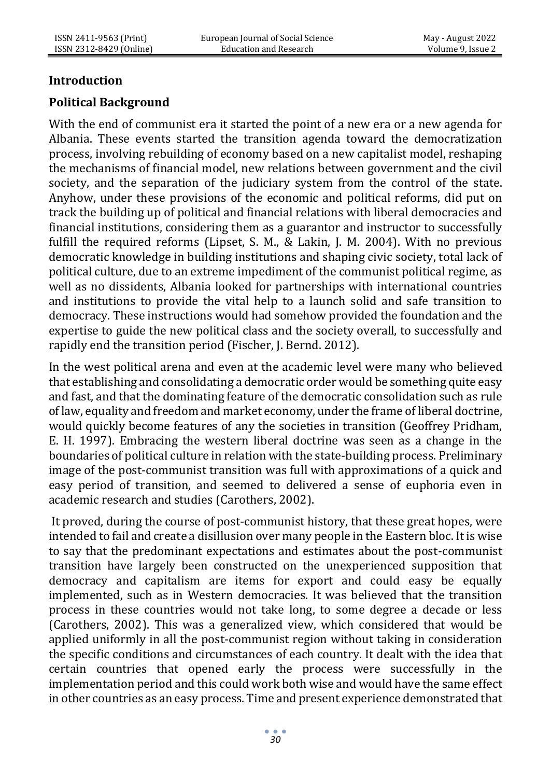# **Introduction**

# **Political Background**

With the end of communist era it started the point of a new era or a new agenda for Albania. These events started the transition agenda toward the democratization process, involving rebuilding of economy based on a new capitalist model, reshaping the mechanisms of financial model, new relations between government and the civil society, and the separation of the judiciary system from the control of the state. Anyhow, under these provisions of the economic and political reforms, did put on track the building up of political and financial relations with liberal democracies and financial institutions, considering them as a guarantor and instructor to successfully fulfill the required reforms (Lipset, S. M., & Lakin, J. M. 2004). With no previous democratic knowledge in building institutions and shaping civic society, total lack of political culture, due to an extreme impediment of the communist political regime, as well as no dissidents, Albania looked for partnerships with international countries and institutions to provide the vital help to a launch solid and safe transition to democracy. These instructions would had somehow provided the foundation and the expertise to guide the new political class and the society overall, to successfully and rapidly end the transition period (Fischer, J. Bernd. 2012).

In the west political arena and even at the academic level were many who believed that establishing and consolidating a democratic order would be something quite easy and fast, and that the dominating feature of the democratic consolidation such as rule of law, equality and freedom and market economy, under the frame of liberal doctrine, would quickly become features of any the societies in transition (Geoffrey Pridham, E. H. 1997). Embracing the western liberal doctrine was seen as a change in the boundaries of political culture in relation with the state-building process. Preliminary image of the post-communist transition was full with approximations of a quick and easy period of transition, and seemed to delivered a sense of euphoria even in academic research and studies (Carothers, 2002).

It proved, during the course of post-communist history, that these great hopes, were intended to fail and create a disillusion over many people in the Eastern bloc. It is wise to say that the predominant expectations and estimates about the post-communist transition have largely been constructed on the unexperienced supposition that democracy and capitalism are items for export and could easy be equally implemented, such as in Western democracies. It was believed that the transition process in these countries would not take long, to some degree a decade or less (Carothers, 2002). This was a generalized view, which considered that would be applied uniformly in all the post-communist region without taking in consideration the specific conditions and circumstances of each country. It dealt with the idea that certain countries that opened early the process were successfully in the implementation period and this could work both wise and would have the same effect in other countries as an easy process. Time and present experience demonstrated that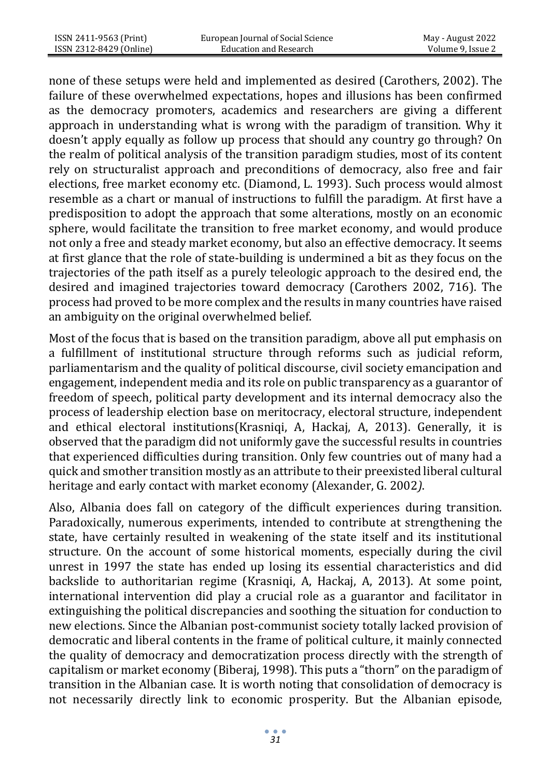none of these setups were held and implemented as desired (Carothers, 2002). The failure of these overwhelmed expectations, hopes and illusions has been confirmed as the democracy promoters, academics and researchers are giving a different approach in understanding what is wrong with the paradigm of transition. Why it doesn't apply equally as follow up process that should any country go through? On the realm of political analysis of the transition paradigm studies, most of its content rely on structuralist approach and preconditions of democracy, also free and fair elections, free market economy etc. (Diamond, L. 1993). Such process would almost resemble as a chart or manual of instructions to fulfill the paradigm. At first have a predisposition to adopt the approach that some alterations, mostly on an economic sphere, would facilitate the transition to free market economy, and would produce not only a free and steady market economy, but also an effective democracy. It seems at first glance that the role of state-building is undermined a bit as they focus on the trajectories of the path itself as a purely teleologic approach to the desired end, the desired and imagined trajectories toward democracy (Carothers 2002, 716). The process had proved to be more complex and the results in many countries have raised an ambiguity on the original overwhelmed belief.

Most of the focus that is based on the transition paradigm, above all put emphasis on a fulfillment of institutional structure through reforms such as judicial reform, parliamentarism and the quality of political discourse, civil society emancipation and engagement, independent media and its role on public transparency as a guarantor of freedom of speech, political party development and its internal democracy also the process of leadership election base on meritocracy, electoral structure, independent and ethical electoral institutions(Krasniqi, A, Hackaj, A, 2013). Generally, it is observed that the paradigm did not uniformly gave the successful results in countries that experienced difficulties during transition. Only few countries out of many had a quick and smother transition mostly as an attribute to their preexisted liberal cultural heritage and early contact with market economy (Alexander, G. 2002*)*.

Also, Albania does fall on category of the difficult experiences during transition. Paradoxically, numerous experiments, intended to contribute at strengthening the state, have certainly resulted in weakening of the state itself and its institutional structure. On the account of some historical moments, especially during the civil unrest in 1997 the state has ended up losing its essential characteristics and did backslide to authoritarian regime (Krasniqi, A, Hackaj, A, 2013). At some point, international intervention did play a crucial role as a guarantor and facilitator in extinguishing the political discrepancies and soothing the situation for conduction to new elections. Since the Albanian post-communist society totally lacked provision of democratic and liberal contents in the frame of political culture, it mainly connected the quality of democracy and democratization process directly with the strength of capitalism or market economy (Biberaj, 1998). This puts a "thorn" on the paradigm of transition in the Albanian case. It is worth noting that consolidation of democracy is not necessarily directly link to economic prosperity. But the Albanian episode,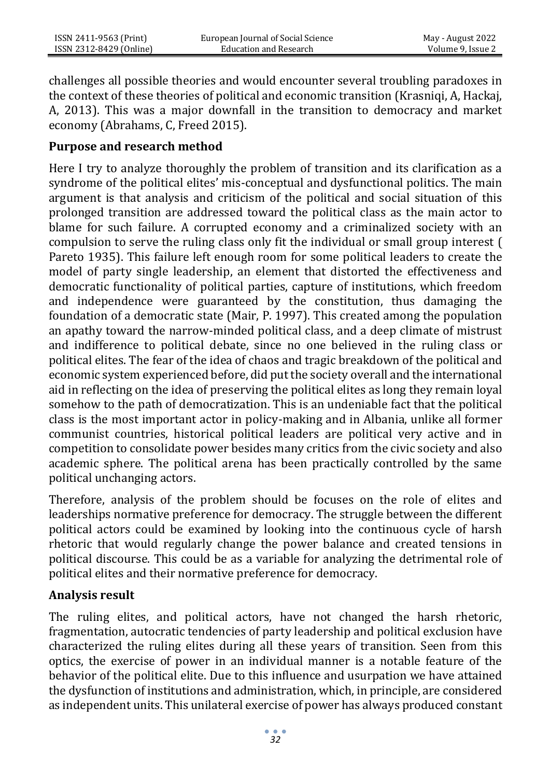challenges all possible theories and would encounter several troubling paradoxes in the context of these theories of political and economic transition (Krasniqi, A, Hackaj, A, 2013). This was a major downfall in the transition to democracy and market economy (Abrahams, C, Freed 2015).

#### **Purpose and research method**

Here I try to analyze thoroughly the problem of transition and its clarification as a syndrome of the political elites' mis-conceptual and dysfunctional politics. The main argument is that analysis and criticism of the political and social situation of this prolonged transition are addressed toward the political class as the main actor to blame for such failure. A corrupted economy and a criminalized society with an compulsion to serve the ruling class only fit the individual or small group interest ( Pareto 1935). This failure left enough room for some political leaders to create the model of party single leadership, an element that distorted the effectiveness and democratic functionality of political parties, capture of institutions, which freedom and independence were guaranteed by the constitution, thus damaging the foundation of a democratic state (Mair, P. 1997). This created among the population an apathy toward the narrow-minded political class, and a deep climate of mistrust and indifference to political debate, since no one believed in the ruling class or political elites. The fear of the idea of chaos and tragic breakdown of the political and economic system experienced before, did put the society overall and the international aid in reflecting on the idea of preserving the political elites as long they remain loyal somehow to the path of democratization. This is an undeniable fact that the political class is the most important actor in policy-making and in Albania, unlike all former communist countries, historical political leaders are political very active and in competition to consolidate power besides many critics from the civic society and also academic sphere. The political arena has been practically controlled by the same political unchanging actors.

Therefore, analysis of the problem should be focuses on the role of elites and leaderships normative preference for democracy. The struggle between the different political actors could be examined by looking into the continuous cycle of harsh rhetoric that would regularly change the power balance and created tensions in political discourse. This could be as a variable for analyzing the detrimental role of political elites and their normative preference for democracy.

# **Analysis result**

The ruling elites, and political actors, have not changed the harsh rhetoric, fragmentation, autocratic tendencies of party leadership and political exclusion have characterized the ruling elites during all these years of transition. Seen from this optics, the exercise of power in an individual manner is a notable feature of the behavior of the political elite. Due to this influence and usurpation we have attained the dysfunction of institutions and administration, which, in principle, are considered as independent units. This unilateral exercise of power has always produced constant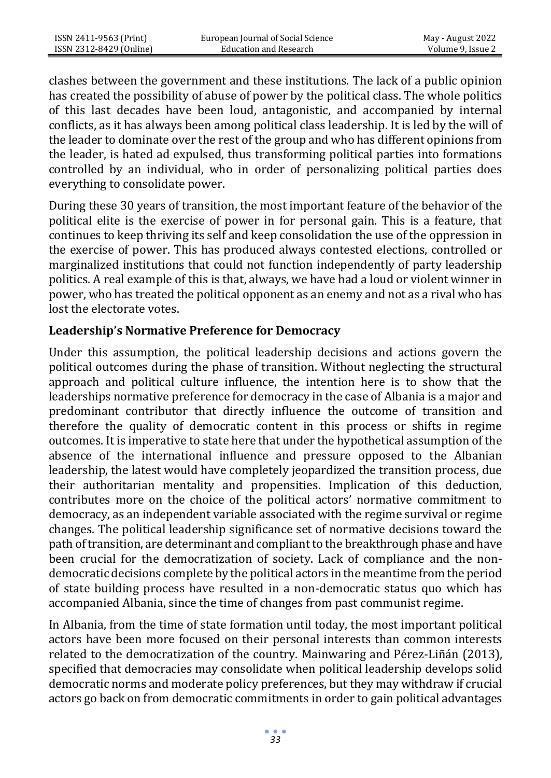clashes between the government and these institutions. The lack of a public opinion has created the possibility of abuse of power by the political class. The whole politics of this last decades have been loud, antagonistic, and accompanied by internal conflicts, as it has always been among political class leadership. It is led by the will of the leader to dominate over the rest of the group and who has different opinions from the leader, is hated ad expulsed, thus transforming political parties into formations controlled by an individual, who in order of personalizing political parties does everything to consolidate power.

During these 30 years of transition, the most important feature of the behavior of the political elite is the exercise of power in for personal gain. This is a feature, that continues to keep thriving its self and keep consolidation the use of the oppression in the exercise of power. This has produced always contested elections, controlled or marginalized institutions that could not function independently of party leadership politics. A real example of this is that, always, we have had a loud or violent winner in power, who has treated the political opponent as an enemy and not as a rival who has lost the electorate votes.

#### **Leadership's Normative Preference for Democracy**

Under this assumption, the political leadership decisions and actions govern the political outcomes during the phase of transition. Without neglecting the structural approach and political culture influence, the intention here is to show that the leaderships normative preference for democracy in the case of Albania is a major and predominant contributor that directly influence the outcome of transition and therefore the quality of democratic content in this process or shifts in regime outcomes. It is imperative to state here that under the hypothetical assumption of the absence of the international influence and pressure opposed to the Albanian leadership, the latest would have completely jeopardized the transition process, due their authoritarian mentality and propensities. Implication of this deduction, contributes more on the choice of the political actors' normative commitment to democracy, as an independent variable associated with the regime survival or regime changes. The political leadership significance set of normative decisions toward the path of transition, are determinant and compliant to the breakthrough phase and have been crucial for the democratization of society. Lack of compliance and the nondemocratic decisions complete by the political actors in the meantime from the period of state building process have resulted in a non-democratic status quo which has accompanied Albania, since the time of changes from past communist regime.

In Albania, from the time of state formation until today, the most important political actors have been more focused on their personal interests than common interests related to the democratization of the country. Mainwaring and Pérez-Liñán (2013), specified that democracies may consolidate when political leadership develops solid democratic norms and moderate policy preferences, but they may withdraw if crucial actors go back on from democratic commitments in order to gain political advantages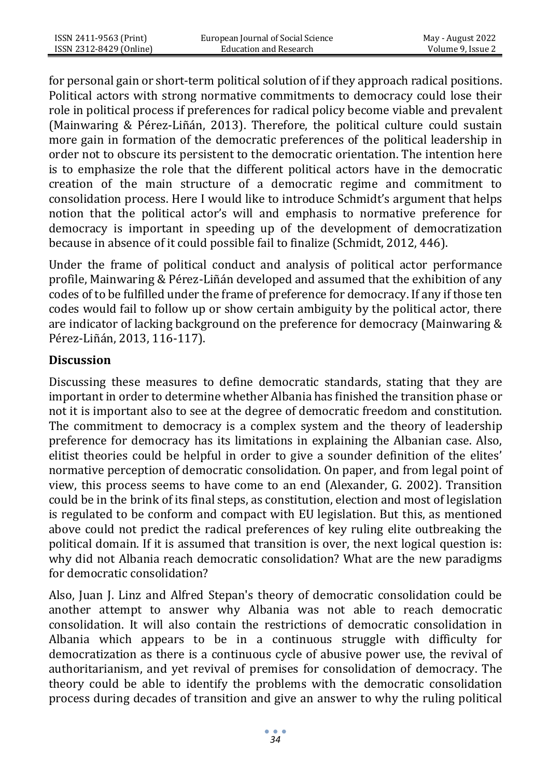for personal gain or short-term political solution of if they approach radical positions. Political actors with strong normative commitments to democracy could lose their role in political process if preferences for radical policy become viable and prevalent (Mainwaring & Pérez-Liñán, 2013). Therefore, the political culture could sustain more gain in formation of the democratic preferences of the political leadership in order not to obscure its persistent to the democratic orientation. The intention here is to emphasize the role that the different political actors have in the democratic creation of the main structure of a democratic regime and commitment to consolidation process. Here I would like to introduce Schmidt's argument that helps notion that the political actor's will and emphasis to normative preference for democracy is important in speeding up of the development of democratization because in absence of it could possible fail to finalize (Schmidt, 2012, 446).

Under the frame of political conduct and analysis of political actor performance profile, Mainwaring & Pérez-Liñán developed and assumed that the exhibition of any codes of to be fulfilled under the frame of preference for democracy. If any if those ten codes would fail to follow up or show certain ambiguity by the political actor, there are indicator of lacking background on the preference for democracy (Mainwaring & Pérez-Liñán, 2013, 116-117).

#### **Discussion**

Discussing these measures to define democratic standards, stating that they are important in order to determine whether Albania has finished the transition phase or not it is important also to see at the degree of democratic freedom and constitution. The commitment to democracy is a complex system and the theory of leadership preference for democracy has its limitations in explaining the Albanian case. Also, elitist theories could be helpful in order to give a sounder definition of the elites' normative perception of democratic consolidation. On paper, and from legal point of view, this process seems to have come to an end (Alexander, G. 2002). Transition could be in the brink of its final steps, as constitution, election and most of legislation is regulated to be conform and compact with EU legislation. But this, as mentioned above could not predict the radical preferences of key ruling elite outbreaking the political domain. If it is assumed that transition is over, the next logical question is: why did not Albania reach democratic consolidation? What are the new paradigms for democratic consolidation?

Also, Juan J. Linz and Alfred Stepan's theory of democratic consolidation could be another attempt to answer why Albania was not able to reach democratic consolidation. It will also contain the restrictions of democratic consolidation in Albania which appears to be in a continuous struggle with difficulty for democratization as there is a continuous cycle of abusive power use, the revival of authoritarianism, and yet revival of premises for consolidation of democracy. The theory could be able to identify the problems with the democratic consolidation process during decades of transition and give an answer to why the ruling political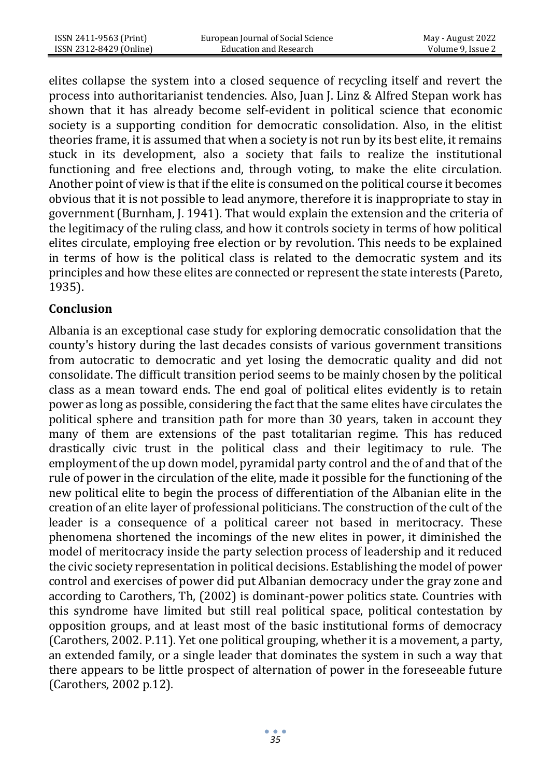elites collapse the system into a closed sequence of recycling itself and revert the process into authoritarianist tendencies. Also, Juan J. Linz & Alfred Stepan work has shown that it has already become self-evident in political science that economic society is a supporting condition for democratic consolidation. Also, in the elitist theories frame, it is assumed that when a society is not run by its best elite, it remains stuck in its development, also a society that fails to realize the institutional functioning and free elections and, through voting, to make the elite circulation. Another point of view is that if the elite is consumed on the political course it becomes obvious that it is not possible to lead anymore, therefore it is inappropriate to stay in government (Burnham, J. 1941). That would explain the extension and the criteria of the legitimacy of the ruling class, and how it controls society in terms of how political elites circulate, employing free election or by revolution. This needs to be explained in terms of how is the political class is related to the democratic system and its principles and how these elites are connected or represent the state interests (Pareto, 1935).

#### **Conclusion**

Albania is an exceptional case study for exploring democratic consolidation that the county's history during the last decades consists of various government transitions from autocratic to democratic and yet losing the democratic quality and did not consolidate. The difficult transition period seems to be mainly chosen by the political class as a mean toward ends. The end goal of political elites evidently is to retain power as long as possible, considering the fact that the same elites have circulates the political sphere and transition path for more than 30 years, taken in account they many of them are extensions of the past totalitarian regime. This has reduced drastically civic trust in the political class and their legitimacy to rule. The employment of the up down model, pyramidal party control and the of and that of the rule of power in the circulation of the elite, made it possible for the functioning of the new political elite to begin the process of differentiation of the Albanian elite in the creation of an elite layer of professional politicians. The construction of the cult of the leader is a consequence of a political career not based in meritocracy. These phenomena shortened the incomings of the new elites in power, it diminished the model of meritocracy inside the party selection process of leadership and it reduced the civic society representation in political decisions. Establishing the model of power control and exercises of power did put Albanian democracy under the gray zone and according to Carothers, Th, (2002) is dominant-power politics state. Countries with this syndrome have limited but still real political space, political contestation by opposition groups, and at least most of the basic institutional forms of democracy (Carothers, 2002. P.11). Yet one political grouping, whether it is a movement, a party, an extended family, or a single leader that dominates the system in such a way that there appears to be little prospect of alternation of power in the foreseeable future (Carothers, 2002 p.12).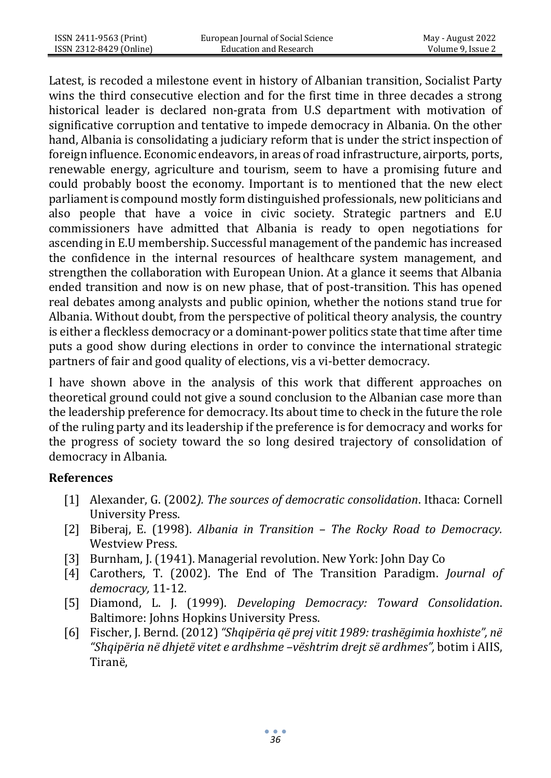Latest, is recoded a milestone event in history of Albanian transition, Socialist Party wins the third consecutive election and for the first time in three decades a strong historical leader is declared non-grata from U.S department with motivation of significative corruption and tentative to impede democracy in Albania. On the other hand, Albania is consolidating a judiciary reform that is under the strict inspection of foreign influence. Economic endeavors, in areas of road infrastructure, airports, ports, renewable energy, agriculture and tourism, seem to have a promising future and could probably boost the economy. Important is to mentioned that the new elect parliament is compound mostly form distinguished professionals, new politicians and also people that have a voice in civic society. Strategic partners and E.U commissioners have admitted that Albania is ready to open negotiations for ascending in E.U membership. Successful management of the pandemic has increased the confidence in the internal resources of healthcare system management, and strengthen the collaboration with European Union. At a glance it seems that Albania ended transition and now is on new phase, that of post-transition. This has opened real debates among analysts and public opinion, whether the notions stand true for Albania. Without doubt, from the perspective of political theory analysis, the country is either a fleckless democracy or a dominant-power politics state that time after time puts a good show during elections in order to convince the international strategic partners of fair and good quality of elections, vis a vi-better democracy.

I have shown above in the analysis of this work that different approaches on theoretical ground could not give a sound conclusion to the Albanian case more than the leadership preference for democracy. Its about time to check in the future the role of the ruling party and its leadership if the preference is for democracy and works for the progress of society toward the so long desired trajectory of consolidation of democracy in Albania.

# **References**

- [1] Alexander, G. (2002*). The sources of democratic consolidation*. Ithaca: Cornell University Press.
- [2] Biberaj, E. (1998). *Albania in Transition – The Rocky Road to Democracy.*  Westview Press.
- [3] Burnham, J. (1941). Managerial revolution. New York: John Day Co
- [4] Carothers, T. (2002). The End of The Transition Paradigm. *Journal of democracy,* 11-12.
- [5] Diamond, L. J. (1999). *Developing Democracy: Toward Consolidation*. Baltimore: Johns Hopkins University Press.
- [6] Fischer, J. Bernd. (2012) *"Shqipëria që prej vitit 1989: trashëgimia hoxhiste", në "Shqipëria në dhjetë vitet e ardhshme –vështrim drejt së ardhmes",* botim i AIIS, Tiranë,